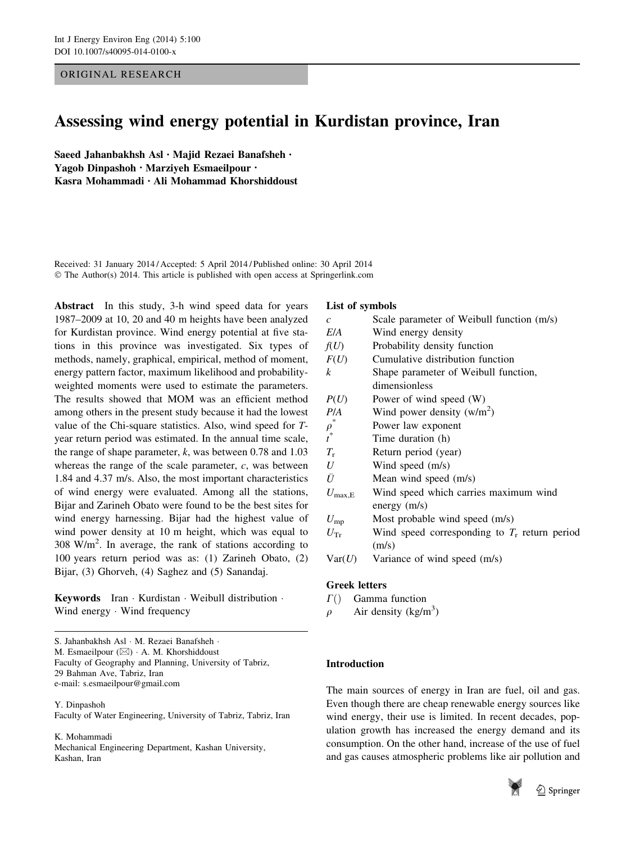# ORIGINAL RESEARCH

# Assessing wind energy potential in Kurdistan province, Iran

Saeed Jahanbakhsh Asl • Majid Rezaei Banafsheh • Yagob Dinpashoh • Marziyeh Esmaeilpour • Kasra Mohammadi • Ali Mohammad Khorshiddoust

Received: 31 January 2014 / Accepted: 5 April 2014 / Published online: 30 April 2014 © The Author(s) 2014. This article is published with open access at Springerlink.com

Abstract In this study, 3-h wind speed data for years 1987–2009 at 10, 20 and 40 m heights have been analyzed for Kurdistan province. Wind energy potential at five stations in this province was investigated. Six types of methods, namely, graphical, empirical, method of moment, energy pattern factor, maximum likelihood and probabilityweighted moments were used to estimate the parameters. The results showed that MOM was an efficient method among others in the present study because it had the lowest value of the Chi-square statistics. Also, wind speed for Tyear return period was estimated. In the annual time scale, the range of shape parameter,  $k$ , was between 0.78 and 1.03 whereas the range of the scale parameter,  $c$ , was between 1.84 and 4.37 m/s. Also, the most important characteristics of wind energy were evaluated. Among all the stations, Bijar and Zarineh Obato were found to be the best sites for wind energy harnessing. Bijar had the highest value of wind power density at 10 m height, which was equal to  $308 \text{ W/m}^2$ . In average, the rank of stations according to 100 years return period was as: (1) Zarineh Obato, (2) Bijar, (3) Ghorveh, (4) Saghez and (5) Sanandaj.

Keywords Iran - Kurdistan - Weibull distribution - Wind energy - Wind frequency

S. Jahanbakhsh Asl - M. Rezaei Banafsheh - M. Esmaeilpour ( $\boxtimes$ ) · A. M. Khorshiddoust Faculty of Geography and Planning, University of Tabriz, 29 Bahman Ave, Tabriz, Iran e-mail: s.esmaeilpour@gmail.com

Y. Dinpashoh

Faculty of Water Engineering, University of Tabriz, Tabriz, Iran

#### K. Mohammadi

Mechanical Engineering Department, Kashan University, Kashan, Iran

# List of symbols

| $\overline{c}$   | Scale parameter of Weibull function (m/s)       |
|------------------|-------------------------------------------------|
| E/A              | Wind energy density                             |
| f(U)             | Probability density function                    |
| F(U)             | Cumulative distribution function                |
| $\boldsymbol{k}$ | Shape parameter of Weibull function,            |
|                  | dimensionless                                   |
| P(U)             | Power of wind speed (W)                         |
| P/A              | Wind power density $(w/m^2)$                    |
| $\rho^*$         | Power law exponent                              |
| $\overline{t}^*$ | Time duration (h)                               |
| $T_{\rm r}$      | Return period (year)                            |
| U                | Wind speed (m/s)                                |
| Ū                | Mean wind speed (m/s)                           |
| $U_{\rm max,E}$  | Wind speed which carries maximum wind           |
|                  | energy $(m/s)$                                  |
| $U_{\rm mp}$     | Most probable wind speed (m/s)                  |
| $U_{\rm Tr}$     | Wind speed corresponding to $T_r$ return period |
|                  | (m/s)                                           |
| Var(U)           | Variance of wind speed (m/s)                    |
|                  |                                                 |

# Greek letters

- $\Gamma$ () Gamma function
- $\rho$  Air density (kg/m<sup>3</sup>)

# Introduction

The main sources of energy in Iran are fuel, oil and gas. Even though there are cheap renewable energy sources like wind energy, their use is limited. In recent decades, population growth has increased the energy demand and its consumption. On the other hand, increase of the use of fuel and gas causes atmospheric problems like air pollution and



2 Springer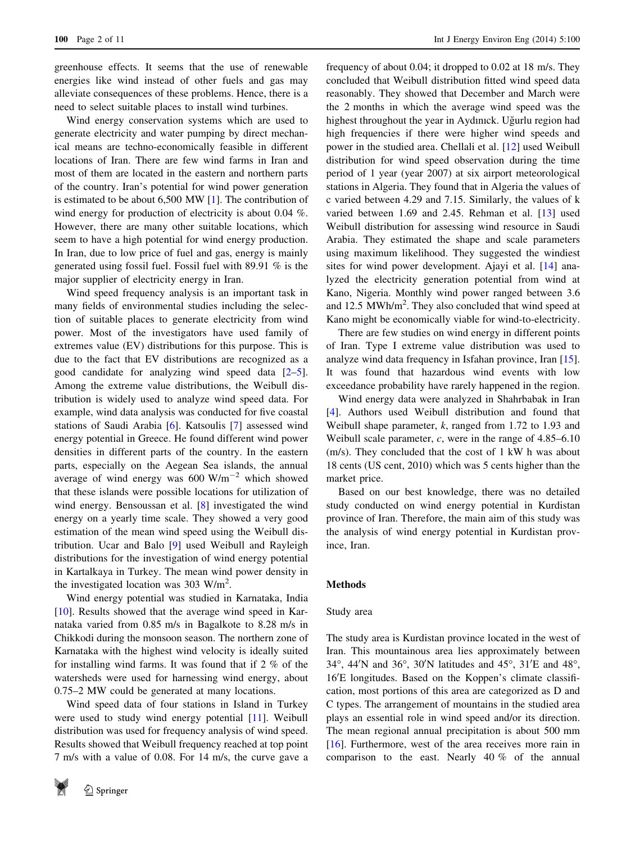greenhouse effects. It seems that the use of renewable energies like wind instead of other fuels and gas may alleviate consequences of these problems. Hence, there is a need to select suitable places to install wind turbines.

Wind energy conservation systems which are used to generate electricity and water pumping by direct mechanical means are techno-economically feasible in different locations of Iran. There are few wind farms in Iran and most of them are located in the eastern and northern parts of the country. Iran's potential for wind power generation is estimated to be about 6,500 MW [[1\]](#page-9-0). The contribution of wind energy for production of electricity is about 0.04 %. However, there are many other suitable locations, which seem to have a high potential for wind energy production. In Iran, due to low price of fuel and gas, energy is mainly generated using fossil fuel. Fossil fuel with 89.91 % is the major supplier of electricity energy in Iran.

Wind speed frequency analysis is an important task in many fields of environmental studies including the selection of suitable places to generate electricity from wind power. Most of the investigators have used family of extremes value (EV) distributions for this purpose. This is due to the fact that EV distributions are recognized as a good candidate for analyzing wind speed data [\[2–5](#page-9-0)]. Among the extreme value distributions, the Weibull distribution is widely used to analyze wind speed data. For example, wind data analysis was conducted for five coastal stations of Saudi Arabia [\[6](#page-9-0)]. Katsoulis [\[7](#page-9-0)] assessed wind energy potential in Greece. He found different wind power densities in different parts of the country. In the eastern parts, especially on the Aegean Sea islands, the annual average of wind energy was  $600 \text{ W/m}^{-2}$  which showed that these islands were possible locations for utilization of wind energy. Bensoussan et al. [\[8](#page-9-0)] investigated the wind energy on a yearly time scale. They showed a very good estimation of the mean wind speed using the Weibull distribution. Ucar and Balo [[9\]](#page-9-0) used Weibull and Rayleigh distributions for the investigation of wind energy potential in Kartalkaya in Turkey. The mean wind power density in the investigated location was 303 W/m<sup>2</sup>.

Wind energy potential was studied in Karnataka, India [\[10](#page-9-0)]. Results showed that the average wind speed in Karnataka varied from 0.85 m/s in Bagalkote to 8.28 m/s in Chikkodi during the monsoon season. The northern zone of Karnataka with the highest wind velocity is ideally suited for installing wind farms. It was found that if 2 % of the watersheds were used for harnessing wind energy, about 0.75–2 MW could be generated at many locations.

Wind speed data of four stations in Island in Turkey were used to study wind energy potential [\[11](#page-9-0)]. Weibull distribution was used for frequency analysis of wind speed. Results showed that Weibull frequency reached at top point 7 m/s with a value of 0.08. For 14 m/s, the curve gave a



frequency of about 0.04; it dropped to 0.02 at 18 m/s. They concluded that Weibull distribution fitted wind speed data reasonably. They showed that December and March were the 2 months in which the average wind speed was the highest throughout the year in Aydınıck. Uğurlu region had high frequencies if there were higher wind speeds and power in the studied area. Chellali et al. [[12\]](#page-9-0) used Weibull distribution for wind speed observation during the time period of 1 year (year 2007) at six airport meteorological stations in Algeria. They found that in Algeria the values of c varied between 4.29 and 7.15. Similarly, the values of k varied between 1.69 and 2.45. Rehman et al. [[13\]](#page-9-0) used Weibull distribution for assessing wind resource in Saudi Arabia. They estimated the shape and scale parameters using maximum likelihood. They suggested the windiest sites for wind power development. Ajayi et al. [[14\]](#page-9-0) analyzed the electricity generation potential from wind at Kano, Nigeria. Monthly wind power ranged between 3.6 and 12.5 MWh/m<sup>2</sup>. They also concluded that wind speed at Kano might be economically viable for wind-to-electricity.

There are few studies on wind energy in different points of Iran. Type I extreme value distribution was used to analyze wind data frequency in Isfahan province, Iran [\[15](#page-9-0)]. It was found that hazardous wind events with low exceedance probability have rarely happened in the region.

Wind energy data were analyzed in Shahrbabak in Iran [\[4](#page-9-0)]. Authors used Weibull distribution and found that Weibull shape parameter,  $k$ , ranged from 1.72 to 1.93 and Weibull scale parameter, c, were in the range of 4.85–6.10 (m/s). They concluded that the cost of 1 kW h was about 18 cents (US cent, 2010) which was 5 cents higher than the market price.

Based on our best knowledge, there was no detailed study conducted on wind energy potential in Kurdistan province of Iran. Therefore, the main aim of this study was the analysis of wind energy potential in Kurdistan province, Iran.

# Methods

# Study area

The study area is Kurdistan province located in the west of Iran. This mountainous area lies approximately between 34°, 44'N and 36°, 30'N latitudes and 45°, 31'E and 48°, 16'E longitudes. Based on the Koppen's climate classification, most portions of this area are categorized as D and C types. The arrangement of mountains in the studied area plays an essential role in wind speed and/or its direction. The mean regional annual precipitation is about 500 mm [\[16](#page-9-0)]. Furthermore, west of the area receives more rain in comparison to the east. Nearly 40 % of the annual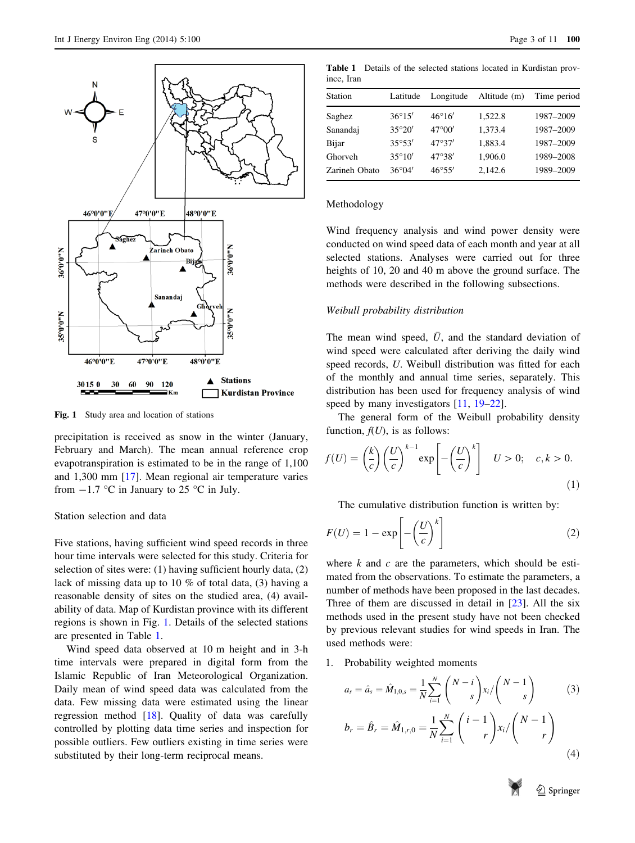

Fig. 1 Study area and location of stations

precipitation is received as snow in the winter (January, February and March). The mean annual reference crop evapotranspiration is estimated to be in the range of 1,100 and 1,300 mm [\[17](#page-9-0)]. Mean regional air temperature varies from  $-1.7$  °C in January to 25 °C in July.

# Station selection and data

Five stations, having sufficient wind speed records in three hour time intervals were selected for this study. Criteria for selection of sites were: (1) having sufficient hourly data, (2) lack of missing data up to 10 % of total data, (3) having a reasonable density of sites on the studied area, (4) availability of data. Map of Kurdistan province with its different regions is shown in Fig. 1. Details of the selected stations are presented in Table 1.

Wind speed data observed at 10 m height and in 3-h time intervals were prepared in digital form from the Islamic Republic of Iran Meteorological Organization. Daily mean of wind speed data was calculated from the data. Few missing data were estimated using the linear regression method [\[18](#page-9-0)]. Quality of data was carefully controlled by plotting data time series and inspection for possible outliers. Few outliers existing in time series were substituted by their long-term reciprocal means.

ince, Iran Station Latitude Longitude Altitude (m) Time period Saghez  $36^{\circ}15'$   $46^{\circ}16'$   $1,522.8$   $1987-2009$ Sanandaj 35°20′ 47°00′ 1,373.4 1987–2009 Bijar 35°53′ 47°37′ 1,883.4 1987–2009 Ghorveh  $35^{\circ}10'$   $47^{\circ}38'$   $1,906.0$   $1989-2008$ Zarineh Obato 36°04′ 46°55′ 2,142.6 1989–2009

Table 1 Details of the selected stations located in Kurdistan prov-

#### Methodology

Wind frequency analysis and wind power density were conducted on wind speed data of each month and year at all selected stations. Analyses were carried out for three heights of 10, 20 and 40 m above the ground surface. The methods were described in the following subsections.

#### Weibull probability distribution

The mean wind speed,  $\overline{U}$ , and the standard deviation of wind speed were calculated after deriving the daily wind speed records, U. Weibull distribution was fitted for each of the monthly and annual time series, separately. This distribution has been used for frequency analysis of wind speed by many investigators [[11,](#page-9-0) [19–](#page-9-0)[22\]](#page-10-0).

The general form of the Weibull probability density function,  $f(U)$ , is as follows:

$$
f(U) = \left(\frac{k}{c}\right) \left(\frac{U}{c}\right)^{k-1} \exp\left[-\left(\frac{U}{c}\right)^k\right] \quad U > 0; \quad c, k > 0. \tag{1}
$$

The cumulative distribution function is written by:

$$
F(U) = 1 - \exp\left[-\left(\frac{U}{c}\right)^k\right]
$$
 (2)

where  $k$  and  $c$  are the parameters, which should be estimated from the observations. To estimate the parameters, a number of methods have been proposed in the last decades. Three of them are discussed in detail in [\[23](#page-10-0)]. All the six methods used in the present study have not been checked by previous relevant studies for wind speeds in Iran. The used methods were:

1. Probability weighted moments

$$
a_{s} = \hat{a}_{s} = \hat{M}_{1,0,s} = \frac{1}{N} \sum_{i=1}^{N} {N-i \choose s} x_{i} / {N-1 \choose s}
$$
(3)  

$$
b_{r} = \hat{B}_{r} = \hat{M}_{1,r,0} = \frac{1}{N} \sum_{i=1}^{N} {i-1 \choose r} x_{i} / {N-1 \choose r}
$$
(4)

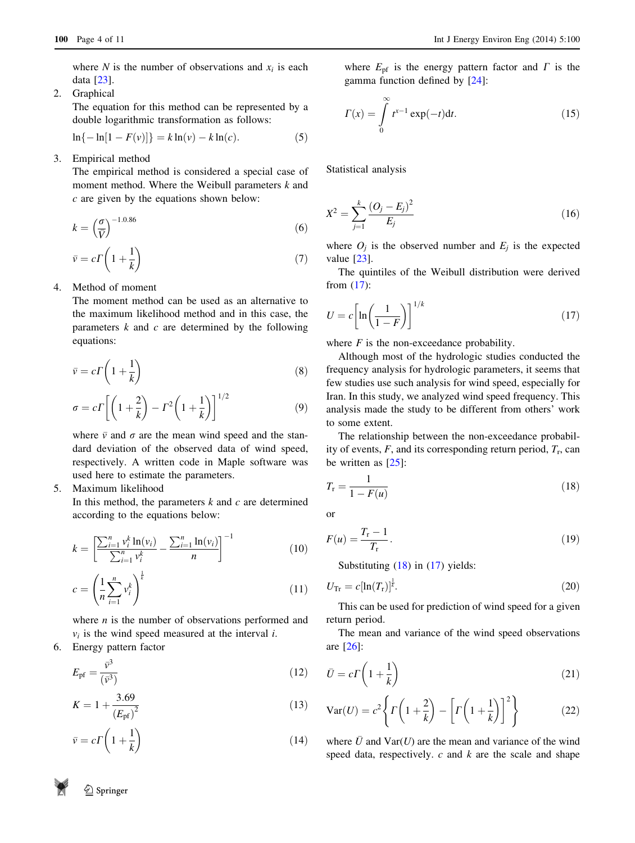<span id="page-3-0"></span>where N is the number of observations and  $x_i$  is each data [[23](#page-10-0)].

2. Graphical

The equation for this method can be represented by a double logarithmic transformation as follows:

$$
\ln\{-\ln[1 - F(v)]\} = k\ln(v) - k\ln(c). \tag{5}
$$

3. Empirical method

The empirical method is considered a special case of moment method. Where the Weibull parameters  $k$  and c are given by the equations shown below:

$$
k = \left(\frac{\sigma}{\bar{V}}\right)^{-1.0.86} \tag{6}
$$

$$
\bar{v} = c\Gamma\left(1 + \frac{1}{k}\right) \tag{7}
$$

4. Method of moment

The moment method can be used as an alternative to the maximum likelihood method and in this case, the parameters  $k$  and  $c$  are determined by the following equations:

$$
\bar{v} = c\Gamma \left( 1 + \frac{1}{k} \right) \tag{8}
$$

$$
\sigma = c \Gamma \left[ \left( 1 + \frac{2}{k} \right) - \Gamma^2 \left( 1 + \frac{1}{k} \right) \right]^{1/2} \tag{9}
$$

where  $\bar{v}$  and  $\sigma$  are the mean wind speed and the standard deviation of the observed data of wind speed, respectively. A written code in Maple software was used here to estimate the parameters.

5. Maximum likelihood

In this method, the parameters  $k$  and  $c$  are determined according to the equations below:

$$
k = \left[\frac{\sum_{i=1}^{n} v_i^k \ln(v_i)}{\sum_{i=1}^{n} v_i^k} - \frac{\sum_{i=1}^{n} \ln(v_i)}{n}\right]^{-1}
$$
(10)

$$
c = \left(\frac{1}{n}\sum_{i=1}^{n} v_i^k\right)^{\frac{1}{k}}\tag{11}
$$

where  $n$  is the number of observations performed and  $v_i$  is the wind speed measured at the interval *i*.

6. Energy pattern factor

$$
E_{\rm pf} = \frac{\bar{v}^3}{(\bar{v}^3)}\tag{12}
$$

$$
K = 1 + \frac{3.69}{\left(E_{\text{pf}}\right)^2} \tag{13}
$$

$$
\bar{v} = c\Gamma\left(1 + \frac{1}{k}\right) \tag{14}
$$

where  $E_{\text{pf}}$  is the energy pattern factor and  $\Gamma$  is the gamma function defined by [\[24](#page-10-0)]:

$$
\Gamma(x) = \int_{0}^{\infty} t^{x-1} \exp(-t) \mathrm{d}t. \tag{15}
$$

Statistical analysis

$$
X^{2} = \sum_{j=1}^{k} \frac{(O_{j} - E_{j})^{2}}{E_{j}}
$$
(16)

where  $O_i$  is the observed number and  $E_i$  is the expected value [[23\]](#page-10-0).

The quintiles of the Weibull distribution were derived from (17):

$$
U = c \left[ \ln \left( \frac{1}{1 - F} \right) \right]^{1/k} \tag{17}
$$

where  $F$  is the non-exceedance probability.

Although most of the hydrologic studies conducted the frequency analysis for hydrologic parameters, it seems that few studies use such analysis for wind speed, especially for Iran. In this study, we analyzed wind speed frequency. This analysis made the study to be different from others' work to some extent.

The relationship between the non-exceedance probability of events,  $F$ , and its corresponding return period,  $T_r$ , can be written as [[25\]](#page-10-0):

$$
T_{\rm r} = \frac{1}{1 - F(u)}\tag{18}
$$

or

$$
F(u) = \frac{T_{\rm r} - 1}{T_{\rm r}}.\tag{19}
$$

Substituting (18) in (17) yields:

$$
U_{\rm Tr} = c[\ln(T_{\rm r})]^{\frac{1}{k}}.\tag{20}
$$

This can be used for prediction of wind speed for a given return period.

The mean and variance of the wind speed observations are [\[26](#page-10-0)]:

$$
\bar{U} = c\Gamma\left(1 + \frac{1}{k}\right) \tag{21}
$$

$$
\text{Var}(U) = c^2 \left\{ \Gamma\left(1 + \frac{2}{k}\right) - \left[\Gamma\left(1 + \frac{1}{k}\right)\right]^2 \right\} \tag{22}
$$

where  $\bar{U}$  and  $Var(U)$  are the mean and variance of the wind speed data, respectively.  $c$  and  $k$  are the scale and shape

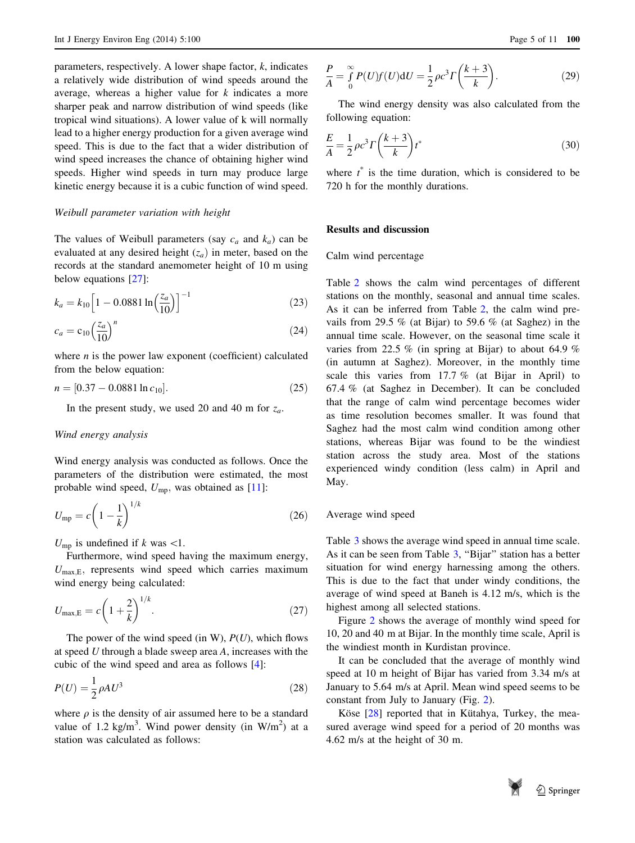parameters, respectively. A lower shape factor,  $k$ , indicates a relatively wide distribution of wind speeds around the average, whereas a higher value for  $k$  indicates a more sharper peak and narrow distribution of wind speeds (like tropical wind situations). A lower value of k will normally lead to a higher energy production for a given average wind speed. This is due to the fact that a wider distribution of wind speed increases the chance of obtaining higher wind speeds. Higher wind speeds in turn may produce large kinetic energy because it is a cubic function of wind speed.

#### Weibull parameter variation with height

The values of Weibull parameters (say  $c_a$  and  $k_a$ ) can be evaluated at any desired height  $(z_a)$  in meter, based on the records at the standard anemometer height of 10 m using below equations [[27\]](#page-10-0):

$$
k_a = k_{10} \left[ 1 - 0.0881 \ln \left( \frac{z_a}{10} \right) \right]^{-1} \tag{23}
$$

$$
c_a = c_{10} \left(\frac{z_a}{10}\right)^n \tag{24}
$$

where  $n$  is the power law exponent (coefficient) calculated from the below equation:

$$
n = [0.37 - 0.0881 \ln c_{10}]. \tag{25}
$$

In the present study, we used 20 and 40 m for  $z_a$ .

#### Wind energy analysis

Wind energy analysis was conducted as follows. Once the parameters of the distribution were estimated, the most probable wind speed,  $U_{\text{mp}}$ , was obtained as [[11](#page-9-0)]:

$$
U_{\rm mp} = c \left( 1 - \frac{1}{k} \right)^{1/k} \tag{26}
$$

 $U_{\text{mp}}$  is undefined if k was <1.

Furthermore, wind speed having the maximum energy,  $U_{\text{max,E}}$ , represents wind speed which carries maximum wind energy being calculated:

$$
U_{\text{max,E}} = c \left( 1 + \frac{2}{k} \right)^{1/k}.
$$
 (27)

The power of the wind speed (in W),  $P(U)$ , which flows at speed U through a blade sweep area A, increases with the cubic of the wind speed and area as follows [[4\]](#page-9-0):

$$
P(U) = \frac{1}{2}\rho A U^3\tag{28}
$$

where  $\rho$  is the density of air assumed here to be a standard value of 1.2 kg/m<sup>3</sup>. Wind power density (in  $W/m<sup>2</sup>$ ) at a station was calculated as follows:

$$
\frac{P}{A} = \int_{0}^{\infty} P(U)f(U)dU = \frac{1}{2}\rho c^{3} \Gamma\left(\frac{k+3}{k}\right).
$$
 (29)

The wind energy density was also calculated from the following equation:

$$
\frac{E}{A} = \frac{1}{2}\rho c^3 \Gamma\left(\frac{k+3}{k}\right) t^*
$$
\n(30)

where  $t^*$  is the time duration, which is considered to be 720 h for the monthly durations.

#### Results and discussion

Calm wind percentage

Table [2](#page-5-0) shows the calm wind percentages of different stations on the monthly, seasonal and annual time scales. As it can be inferred from Table [2,](#page-5-0) the calm wind prevails from 29.5 % (at Bijar) to 59.6 % (at Saghez) in the annual time scale. However, on the seasonal time scale it varies from 22.5 % (in spring at Bijar) to about 64.9 % (in autumn at Saghez). Moreover, in the monthly time scale this varies from 17.7 % (at Bijar in April) to 67.4 % (at Saghez in December). It can be concluded that the range of calm wind percentage becomes wider as time resolution becomes smaller. It was found that Saghez had the most calm wind condition among other stations, whereas Bijar was found to be the windiest station across the study area. Most of the stations experienced windy condition (less calm) in April and May.

## Average wind speed

Table [3](#page-5-0) shows the average wind speed in annual time scale. As it can be seen from Table [3](#page-5-0), "Bijar" station has a better situation for wind energy harnessing among the others. This is due to the fact that under windy conditions, the average of wind speed at Baneh is 4.12 m/s, which is the highest among all selected stations.

Figure [2](#page-5-0) shows the average of monthly wind speed for 10, 20 and 40 m at Bijar. In the monthly time scale, April is the windiest month in Kurdistan province.

It can be concluded that the average of monthly wind speed at 10 m height of Bijar has varied from 3.34 m/s at January to 5.64 m/s at April. Mean wind speed seems to be constant from July to January (Fig. [2](#page-5-0)).

Köse  $[28]$  $[28]$  reported that in Kütahya, Turkey, the measured average wind speed for a period of 20 months was 4.62 m/s at the height of 30 m.

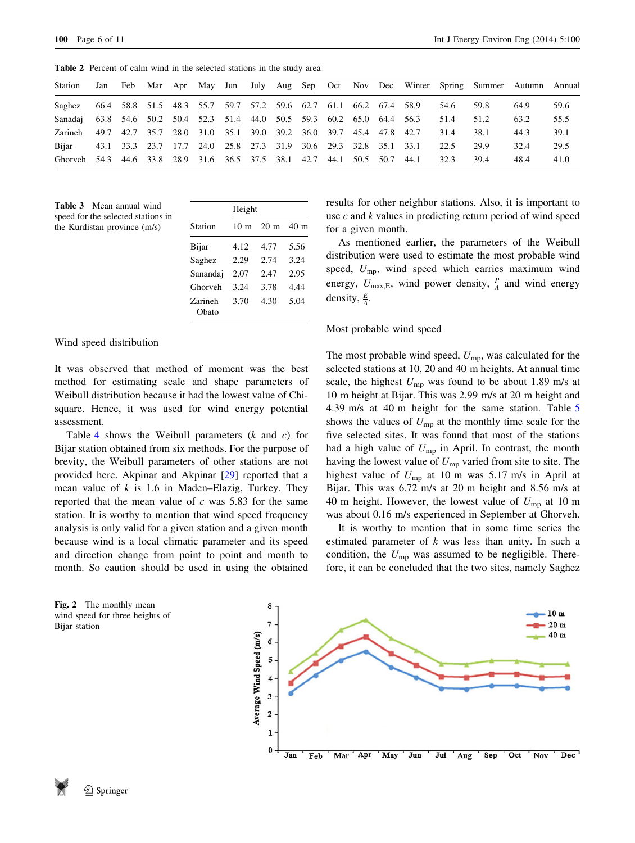<span id="page-5-0"></span>Table 2 Percent of calm wind in the selected stations in the study area

| Station                                                                  | Jan |  |                                                                  |  |  |  |       |      | Feb Mar Apr May Jun July Aug Sep Oct Nov Dec Winter Spring Summer Autumn Annual |      |      |
|--------------------------------------------------------------------------|-----|--|------------------------------------------------------------------|--|--|--|-------|------|---------------------------------------------------------------------------------|------|------|
| Saghez 66.4 58.8 51.5 48.3 55.7 59.7 57.2 59.6 62.7 61.1 66.2 67.4 58.9  |     |  |                                                                  |  |  |  |       | 54.6 | 59.8                                                                            | 64.9 | 59.6 |
| Sanadaj 63.8 54.6 50.2 50.4 52.3 51.4 44.0 50.5 59.3 60.2 65.0 64.4 56.3 |     |  |                                                                  |  |  |  |       | 51.4 | 51.2                                                                            | 63.2 | 55.5 |
| Zarineh                                                                  |     |  | 49.7 42.7 35.7 28.0 31.0 35.1 39.0 39.2 36.0 39.7 45.4 47.8 42.7 |  |  |  |       | 31.4 | 38.1                                                                            | 44.3 | 39.1 |
| Bijar                                                                    |     |  | 43.1 33.3 23.7 17.7 24.0 25.8 27.3 31.9 30.6 29.3 32.8 35.1 33.1 |  |  |  |       | 22.5 | 29.9                                                                            | 32.4 | 29.5 |
| Ghorveh 54.3 44.6 33.8 28.9 31.6 36.5 37.5 38.1 42.7 44.1 50.5 50.7      |     |  |                                                                  |  |  |  | -44.1 | 32.3 | 39.4                                                                            | 48.4 | 41.0 |

Table 3 Mean annual wind speed for the selected stations in the Kurdistan province (m/s)

|                  | Height          |                |      |
|------------------|-----------------|----------------|------|
| Station          | 10 <sub>m</sub> | $20 \text{ m}$ | 40 m |
| Bijar            | 4.12            | 4.77           | 5.56 |
| Saghez           | 2.29            | 2.74           | 3.24 |
| Sanandaj         | 2.07            | 2.47           | 2.95 |
| Ghorveh          | 3.24            | 3.78           | 4.44 |
| Zarineh<br>Obato | 3.70            | 4.30           | 5.04 |

Wind speed distribution

It was observed that method of moment was the best method for estimating scale and shape parameters of Weibull distribution because it had the lowest value of Chisquare. Hence, it was used for wind energy potential assessment.

Table [4](#page-6-0) shows the Weibull parameters  $(k \text{ and } c)$  for Bijar station obtained from six methods. For the purpose of brevity, the Weibull parameters of other stations are not provided here. Akpinar and Akpinar [\[29](#page-10-0)] reported that a mean value of  $k$  is 1.6 in Maden–Elazig, Turkey. They reported that the mean value of  $c$  was 5.83 for the same station. It is worthy to mention that wind speed frequency analysis is only valid for a given station and a given month because wind is a local climatic parameter and its speed and direction change from point to point and month to month. So caution should be used in using the obtained

Fig. 2 The monthly mean wind speed for three heights of Bijar station



results for other neighbor stations. Also, it is important to use  $c$  and  $k$  values in predicting return period of wind speed for a given month.

As mentioned earlier, the parameters of the Weibull distribution were used to estimate the most probable wind speed,  $U_{\text{mp}}$ , wind speed which carries maximum wind energy,  $U_{\text{max,E}}$ , wind power density,  $\frac{P}{A}$  and wind energy density,  $\frac{E}{A}$ .

# Most probable wind speed

The most probable wind speed,  $U_{\text{mp}}$ , was calculated for the selected stations at 10, 20 and 40 m heights. At annual time scale, the highest  $U_{mp}$  was found to be about 1.89 m/s at 10 m height at Bijar. This was 2.99 m/s at 20 m height and 4.39 m/s at 40 m height for the same station. Table [5](#page-6-0) shows the values of  $U_{mp}$  at the monthly time scale for the five selected sites. It was found that most of the stations had a high value of  $U_{\text{mp}}$  in April. In contrast, the month having the lowest value of  $U_{mp}$  varied from site to site. The highest value of  $U_{mp}$  at 10 m was 5.17 m/s in April at Bijar. This was 6.72 m/s at 20 m height and 8.56 m/s at 40 m height. However, the lowest value of  $U_{\rm mp}$  at 10 m was about 0.16 m/s experienced in September at Ghorveh.

It is worthy to mention that in some time series the estimated parameter of  $k$  was less than unity. In such a condition, the  $U_{\text{mp}}$  was assumed to be negligible. Therefore, it can be concluded that the two sites, namely Saghez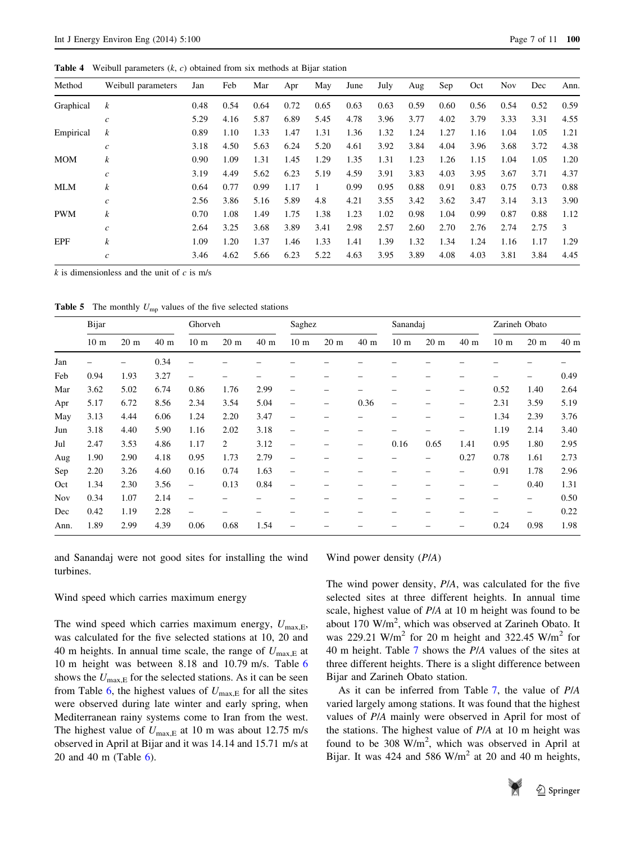<span id="page-6-0"></span>**Table 4** Weibull parameters  $(k, c)$  obtained from six methods at Bijar station

| Method     | Weibull parameters | Jan  | Feb  | Mar  | Apr  | May  | June | July | Aug  | Sep  | Oct  | <b>Nov</b> | Dec  | Ann. |
|------------|--------------------|------|------|------|------|------|------|------|------|------|------|------------|------|------|
| Graphical  | $\boldsymbol{k}$   | 0.48 | 0.54 | 0.64 | 0.72 | 0.65 | 0.63 | 0.63 | 0.59 | 0.60 | 0.56 | 0.54       | 0.52 | 0.59 |
|            | $\mathfrak{c}$     | 5.29 | 4.16 | 5.87 | 6.89 | 5.45 | 4.78 | 3.96 | 3.77 | 4.02 | 3.79 | 3.33       | 3.31 | 4.55 |
| Empirical  | $\boldsymbol{k}$   | 0.89 | 1.10 | 1.33 | 1.47 | 1.31 | 1.36 | 1.32 | 1.24 | 1.27 | 1.16 | 1.04       | 1.05 | 1.21 |
|            | $\mathcal{C}$      | 3.18 | 4.50 | 5.63 | 6.24 | 5.20 | 4.61 | 3.92 | 3.84 | 4.04 | 3.96 | 3.68       | 3.72 | 4.38 |
| <b>MOM</b> | $\boldsymbol{k}$   | 0.90 | 1.09 | 1.31 | 1.45 | 1.29 | 1.35 | 1.31 | 1.23 | 1.26 | 1.15 | 1.04       | 1.05 | 1.20 |
|            | $\boldsymbol{c}$   | 3.19 | 4.49 | 5.62 | 6.23 | 5.19 | 4.59 | 3.91 | 3.83 | 4.03 | 3.95 | 3.67       | 3.71 | 4.37 |
| MLM        | $\boldsymbol{k}$   | 0.64 | 0.77 | 0.99 | 1.17 |      | 0.99 | 0.95 | 0.88 | 0.91 | 0.83 | 0.75       | 0.73 | 0.88 |
|            | $\boldsymbol{c}$   | 2.56 | 3.86 | 5.16 | 5.89 | 4.8  | 4.21 | 3.55 | 3.42 | 3.62 | 3.47 | 3.14       | 3.13 | 3.90 |
| <b>PWM</b> | $\boldsymbol{k}$   | 0.70 | 1.08 | 1.49 | 1.75 | 1.38 | 1.23 | 1.02 | 0.98 | 1.04 | 0.99 | 0.87       | 0.88 | 1.12 |
|            | $\mathcal{C}$      | 2.64 | 3.25 | 3.68 | 3.89 | 3.41 | 2.98 | 2.57 | 2.60 | 2.70 | 2.76 | 2.74       | 2.75 | 3    |
| <b>EPF</b> | $\boldsymbol{k}$   | 1.09 | 1.20 | 1.37 | 1.46 | 1.33 | 1.41 | 1.39 | 1.32 | 1.34 | 1.24 | 1.16       | 1.17 | 1.29 |
|            | $\boldsymbol{c}$   | 3.46 | 4.62 | 5.66 | 6.23 | 5.22 | 4.63 | 3.95 | 3.89 | 4.08 | 4.03 | 3.81       | 3.84 | 4.45 |

 $k$  is dimensionless and the unit of  $c$  is m/s

**Table 5** The monthly  $U_{\text{mp}}$  values of the five selected stations

|            | Bijar                    |                          |      | Ghorveh                  |                 |                 | Saghez                   |                 |                 | Sanandaj        |                 |      | Zarineh Obato   |                 |      |
|------------|--------------------------|--------------------------|------|--------------------------|-----------------|-----------------|--------------------------|-----------------|-----------------|-----------------|-----------------|------|-----------------|-----------------|------|
|            | 10 <sub>m</sub>          | 20 <sub>m</sub>          | 40 m | 10 <sub>m</sub>          | 20 <sub>m</sub> | 40 <sub>m</sub> | 10 <sub>m</sub>          | 20 <sub>m</sub> | 40 <sub>m</sub> | 10 <sub>m</sub> | 20 <sub>m</sub> | 40 m | 10 <sub>m</sub> | 20 <sub>m</sub> | 40 m |
| Jan        | $\overline{\phantom{0}}$ | $\overline{\phantom{0}}$ | 0.34 |                          |                 |                 |                          |                 |                 |                 |                 |      |                 |                 |      |
| Feb        | 0.94                     | 1.93                     | 3.27 | $\overline{\phantom{0}}$ |                 |                 |                          |                 |                 |                 |                 |      |                 |                 | 0.49 |
| Mar        | 3.62                     | 5.02                     | 6.74 | 0.86                     | 1.76            | 2.99            |                          |                 |                 |                 |                 |      | 0.52            | 1.40            | 2.64 |
| Apr        | 5.17                     | 6.72                     | 8.56 | 2.34                     | 3.54            | 5.04            | -                        | -               | 0.36            | $\qquad \qquad$ |                 | -    | 2.31            | 3.59            | 5.19 |
| May        | 3.13                     | 4.44                     | 6.06 | 1.24                     | 2.20            | 3.47            | -                        |                 |                 |                 |                 | -    | 1.34            | 2.39            | 3.76 |
| Jun        | 3.18                     | 4.40                     | 5.90 | 1.16                     | 2.02            | 3.18            | $\overline{\phantom{0}}$ |                 | -               | -               |                 | -    | 1.19            | 2.14            | 3.40 |
| Jul        | 2.47                     | 3.53                     | 4.86 | 1.17                     | 2               | 3.12            |                          |                 | -               | 0.16            | 0.65            | 1.41 | 0.95            | 1.80            | 2.95 |
| Aug        | 1.90                     | 2.90                     | 4.18 | 0.95                     | 1.73            | 2.79            | $\overline{\phantom{0}}$ |                 |                 | -               |                 | 0.27 | 0.78            | 1.61            | 2.73 |
| Sep        | 2.20                     | 3.26                     | 4.60 | 0.16                     | 0.74            | 1.63            | -                        |                 |                 |                 |                 |      | 0.91            | 1.78            | 2.96 |
| Oct        | 1.34                     | 2.30                     | 3.56 | $\overline{\phantom{0}}$ | 0.13            | 0.84            | -                        |                 |                 |                 |                 |      |                 | 0.40            | 1.31 |
| <b>Nov</b> | 0.34                     | 1.07                     | 2.14 | $\overline{\phantom{0}}$ |                 |                 |                          |                 |                 |                 |                 |      |                 | -               | 0.50 |
| Dec        | 0.42                     | 1.19                     | 2.28 | $\overline{\phantom{0}}$ |                 |                 |                          |                 |                 |                 |                 |      |                 | -               | 0.22 |
| Ann.       | 1.89                     | 2.99                     | 4.39 | 0.06                     | 0.68            | 1.54            |                          |                 |                 |                 |                 |      | 0.24            | 0.98            | 1.98 |

and Sanandaj were not good sites for installing the wind turbines.

#### Wind speed which carries maximum energy

The wind speed which carries maximum energy,  $U_{\text{max,E}}$ , was calculated for the five selected stations at 10, 20 and 40 m heights. In annual time scale, the range of  $U_{\text{max,E}}$  at 10 m height was between 8.18 and 10.79 m/s. Table [6](#page-7-0) shows the  $U_{\text{max,E}}$  for the selected stations. As it can be seen from Table [6,](#page-7-0) the highest values of  $U_{\text{max,E}}$  for all the sites were observed during late winter and early spring, when Mediterranean rainy systems come to Iran from the west. The highest value of  $U_{\text{max,E}}$  at 10 m was about 12.75 m/s observed in April at Bijar and it was 14.14 and 15.71 m/s at 20 and 40 m (Table [6\)](#page-7-0).

Wind power density (P/A)

The wind power density, P/A, was calculated for the five selected sites at three different heights. In annual time scale, highest value of P/A at 10 m height was found to be about 170  $W/m^2$ , which was observed at Zarineh Obato. It was 229.21 W/m<sup>2</sup> for 20 m height and 322.45 W/m<sup>2</sup> for 40 m height. Table [7](#page-7-0) shows the P/A values of the sites at three different heights. There is a slight difference between Bijar and Zarineh Obato station.

As it can be inferred from Table [7,](#page-7-0) the value of P/A varied largely among stations. It was found that the highest values of P/A mainly were observed in April for most of the stations. The highest value of P/A at 10 m height was found to be 308  $W/m^2$ , which was observed in April at Bijar. It was 424 and 586 W/m<sup>2</sup> at 20 and 40 m heights,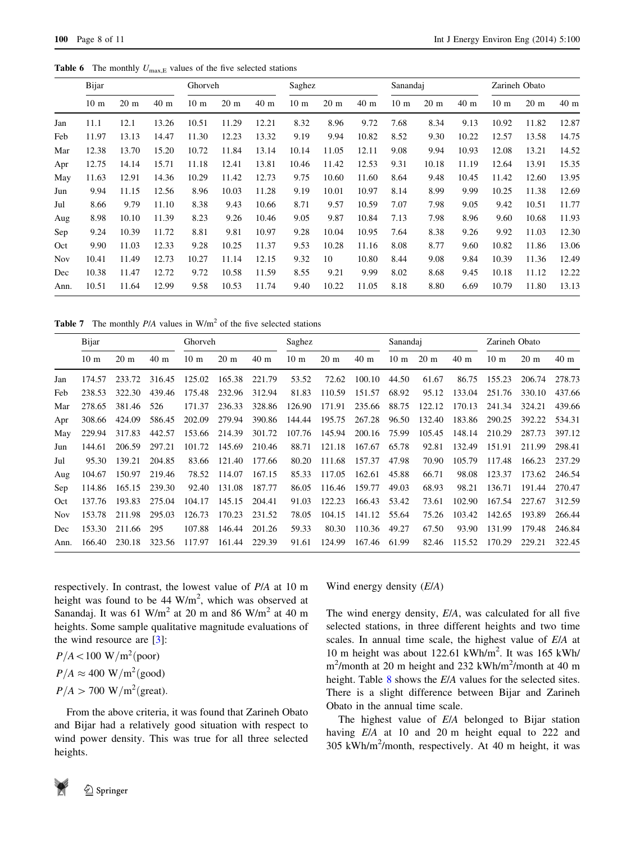<span id="page-7-0"></span>**Table 6** The monthly  $U_{\text{max,E}}$  values of the five selected stations

|            | Bijar           |                 |                 | Ghorveh         |       |                 | Saghez          |                 |       | Sanandaj        |                |                 | Zarineh Obato   |                 |                 |
|------------|-----------------|-----------------|-----------------|-----------------|-------|-----------------|-----------------|-----------------|-------|-----------------|----------------|-----------------|-----------------|-----------------|-----------------|
|            | 10 <sub>m</sub> | 20 <sub>m</sub> | 40 <sub>m</sub> | 10 <sub>m</sub> | 20 m  | 40 <sub>m</sub> | 10 <sub>m</sub> | 20 <sub>m</sub> | 40 m  | 10 <sub>m</sub> | $20 \text{ m}$ | 40 <sub>m</sub> | 10 <sub>m</sub> | 20 <sub>m</sub> | 40 <sub>m</sub> |
| Jan        | 11.1            | 12.1            | 13.26           | 10.51           | 11.29 | 12.21           | 8.32            | 8.96            | 9.72  | 7.68            | 8.34           | 9.13            | 10.92           | 11.82           | 12.87           |
| Feb        | 11.97           | 13.13           | 14.47           | 11.30           | 12.23 | 13.32           | 9.19            | 9.94            | 10.82 | 8.52            | 9.30           | 10.22           | 12.57           | 13.58           | 14.75           |
| Mar        | 12.38           | 13.70           | 15.20           | 10.72           | 11.84 | 13.14           | 10.14           | 11.05           | 12.11 | 9.08            | 9.94           | 10.93           | 12.08           | 13.21           | 14.52           |
| Apr        | 12.75           | 14.14           | 15.71           | 11.18           | 12.41 | 13.81           | 10.46           | 11.42           | 12.53 | 9.31            | 10.18          | 11.19           | 12.64           | 13.91           | 15.35           |
| May        | 11.63           | 12.91           | 14.36           | 10.29           | 11.42 | 12.73           | 9.75            | 10.60           | 11.60 | 8.64            | 9.48           | 10.45           | 11.42           | 12.60           | 13.95           |
| Jun        | 9.94            | 11.15           | 12.56           | 8.96            | 10.03 | 11.28           | 9.19            | 10.01           | 10.97 | 8.14            | 8.99           | 9.99            | 10.25           | 11.38           | 12.69           |
| Jul        | 8.66            | 9.79            | 11.10           | 8.38            | 9.43  | 10.66           | 8.71            | 9.57            | 10.59 | 7.07            | 7.98           | 9.05            | 9.42            | 10.51           | 11.77           |
| Aug        | 8.98            | 10.10           | 11.39           | 8.23            | 9.26  | 10.46           | 9.05            | 9.87            | 10.84 | 7.13            | 7.98           | 8.96            | 9.60            | 10.68           | 11.93           |
| Sep        | 9.24            | 10.39           | 11.72           | 8.81            | 9.81  | 10.97           | 9.28            | 10.04           | 10.95 | 7.64            | 8.38           | 9.26            | 9.92            | 11.03           | 12.30           |
| Oct        | 9.90            | 11.03           | 12.33           | 9.28            | 10.25 | 11.37           | 9.53            | 10.28           | 11.16 | 8.08            | 8.77           | 9.60            | 10.82           | 11.86           | 13.06           |
| <b>Nov</b> | 10.41           | 11.49           | 12.73           | 10.27           | 11.14 | 12.15           | 9.32            | 10              | 10.80 | 8.44            | 9.08           | 9.84            | 10.39           | 11.36           | 12.49           |
| Dec        | 10.38           | 11.47           | 12.72           | 9.72            | 10.58 | 11.59           | 8.55            | 9.21            | 9.99  | 8.02            | 8.68           | 9.45            | 10.18           | 11.12           | 12.22           |
| Ann.       | 10.51           | 11.64           | 12.99           | 9.58            | 10.53 | 11.74           | 9.40            | 10.22           | 11.05 | 8.18            | 8.80           | 6.69            | 10.79           | 11.80           | 13.13           |

**Table 7** The monthly  $P/A$  values in  $W/m^2$  of the five selected stations

|            | Bijar           |                 |                 | Ghorveh         |                |                 | Saghez          |                 |                 | Sanandaj        |                |                 | Zarineh Obato   |                 |                 |
|------------|-----------------|-----------------|-----------------|-----------------|----------------|-----------------|-----------------|-----------------|-----------------|-----------------|----------------|-----------------|-----------------|-----------------|-----------------|
|            | 10 <sub>m</sub> | 20 <sub>m</sub> | 40 <sub>m</sub> | 10 <sub>m</sub> | $20 \text{ m}$ | 40 <sub>m</sub> | 10 <sub>m</sub> | 20 <sub>m</sub> | 40 <sub>m</sub> | 10 <sub>m</sub> | $20 \text{ m}$ | 40 <sub>m</sub> | 10 <sub>m</sub> | 20 <sub>m</sub> | 40 <sub>m</sub> |
| Jan        | 174.57          | 233.72          | 316.45          | 125.02          | 165.38         | 221.79          | 53.52           | 72.62           | 100.10          | 44.50           | 61.67          | 86.75           | 155.23          | 206.74          | 278.73          |
| Feb        | 238.53          | 322.30          | 439.46          | 175.48          | 232.96         | 312.94          | 81.83           | 110.59          | 151.57          | 68.92           | 95.12          | 133.04          | 251.76          | 330.10          | 437.66          |
| Mar        | 278.65          | 381.46          | 526             | 171.37          | 236.33         | 328.86          | 126.90          | 171.91          | 235.66          | 88.75           | 122.12         | 170.13          | 241.34          | 324.21          | 439.66          |
| Apr        | 308.66          | 424.09          | 586.45          | 202.09          | 279.94         | 390.86          | 144.44          | 195.75          | 267.28          | 96.50           | 132.40         | 183.86          | 290.25          | 392.22          | 534.31          |
| May        | 229.94          | 317.83          | 442.57          | 153.66          | 214.39         | 301.72          | 107.76          | 145.94          | 200.16          | 75.99           | 105.45         | 148.14          | 210.29          | 287.73          | 397.12          |
| Jun        | 144.61          | 206.59          | 297.21          | 101.72          | 145.69         | 210.46          | 88.71           | 121.18          | 167.67          | 65.78           | 92.81          | 132.49          | 151.91          | 211.99          | 298.41          |
| Jul        | 95.30           | 139.21          | 204.85          | 83.66           | 121.40         | 177.66          | 80.20           | 111.68          | 157.37          | 47.98           | 70.90          | 105.79          | 117.48          | 166.23          | 237.29          |
| Aug        | 104.67          | 150.97          | 219.46          | 78.52           | 114.07         | 167.15          | 85.33           | 117.05          | 162.61          | 45.88           | 66.71          | 98.08           | 123.37          | 173.62          | 246.54          |
| Sep        | 114.86          | 165.15          | 239.30          | 92.40           | 131.08         | 187.77          | 86.05           | 116.46          | 159.77          | 49.03           | 68.93          | 98.21           | 136.71          | 191.44          | 270.47          |
| Oct        | 137.76          | 193.83          | 275.04          | 104.17          | 145.15         | 204.41          | 91.03           | 122.23          | 166.43          | 53.42           | 73.61          | 102.90          | 167.54          | 227.67          | 312.59          |
| <b>Nov</b> | 153.78          | 211.98          | 295.03          | 126.73          | 170.23         | 231.52          | 78.05           | 104.15          | 141.12          | 55.64           | 75.26          | 103.42          | 142.65          | 193.89          | 266.44          |
| Dec        | 153.30          | 211.66          | 295             | 107.88          | 146.44         | 201.26          | 59.33           | 80.30           | 110.36          | 49.27           | 67.50          | 93.90           | 131.99          | 179.48          | 246.84          |
| Ann.       | 166.40          | 230.18          | 323.56          | 117.97          | 161.44         | 229.39          | 91.61           | 124.99          | 167.46          | 61.99           | 82.46          | 115.52          | 170.29          | 229.21          | 322.45          |

respectively. In contrast, the lowest value of P/A at 10 m height was found to be  $44 \text{ W/m}^2$ , which was observed at Sanandaj. It was 61 W/m<sup>2</sup> at 20 m and 86 W/m<sup>2</sup> at 40 m heights. Some sample qualitative magnitude evaluations of the wind resource are  $[3]$  $[3]$ :

 $P/A < 100 \text{ W/m}^2 \text{(poor)}$  $P/A \approx 400 \text{ W/m}^2 \text{(good)}$  $P/A > 700 \text{ W/m}^2(\text{great}).$ 

From the above criteria, it was found that Zarineh Obato and Bijar had a relatively good situation with respect to wind power density. This was true for all three selected heights.



The wind energy density, E/A, was calculated for all five selected stations, in three different heights and two time scales. In annual time scale, the highest value of E/A at 10 m height was about 122.61 kWh/m2 . It was 165 kWh/ m<sup>2</sup>/month at 20 m height and 232 kWh/m<sup>2</sup>/month at 40 m height. Table [8](#page-8-0) shows the E/A values for the selected sites. There is a slight difference between Bijar and Zarineh Obato in the annual time scale.

The highest value of E/A belonged to Bijar station having E/A at 10 and 20 m height equal to 222 and 305 kWh/m2 /month, respectively. At 40 m height, it was

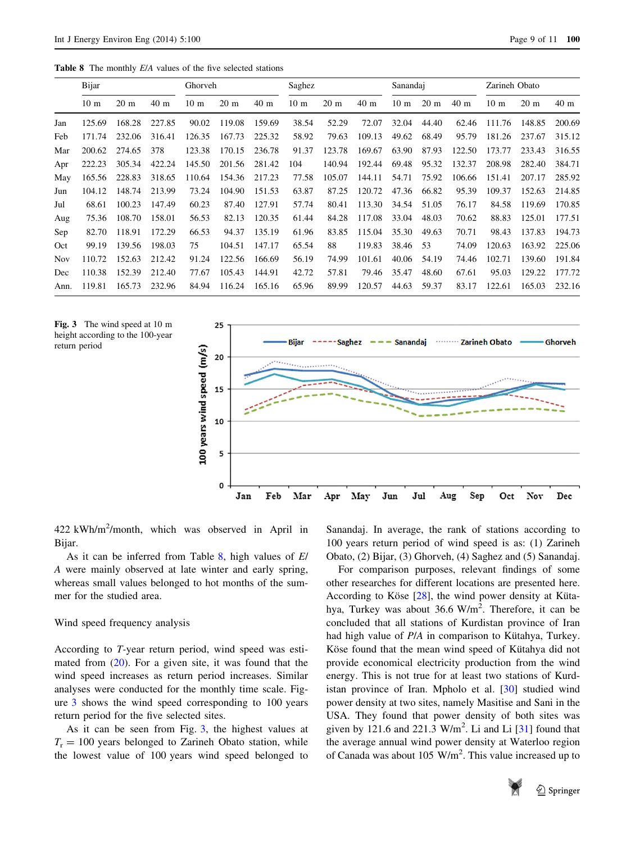<span id="page-8-0"></span>Table 8 The monthly  $E/A$  values of the five selected stations

|      | Bijar           |                |        | Ghorveh         |                |                 | Saghez          |                 |                 | Sanandaj        |                |                 | Zarineh Obato   |                |                 |
|------|-----------------|----------------|--------|-----------------|----------------|-----------------|-----------------|-----------------|-----------------|-----------------|----------------|-----------------|-----------------|----------------|-----------------|
|      | 10 <sub>m</sub> | $20 \text{ m}$ | 40 m   | 10 <sub>m</sub> | $20 \text{ m}$ | 40 <sub>m</sub> | 10 <sub>m</sub> | 20 <sub>m</sub> | 40 <sub>m</sub> | 10 <sub>m</sub> | $20 \text{ m}$ | 40 <sub>m</sub> | 10 <sub>m</sub> | $20 \text{ m}$ | 40 <sub>m</sub> |
| Jan  | 125.69          | 168.28         | 227.85 | 90.02           | 119.08         | 159.69          | 38.54           | 52.29           | 72.07           | 32.04           | 44.40          | 62.46           | 111.76          | 148.85         | 200.69          |
| Feb  | 171.74          | 232.06         | 316.41 | 126.35          | 167.73         | 225.32          | 58.92           | 79.63           | 109.13          | 49.62           | 68.49          | 95.79           | 181.26          | 237.67         | 315.12          |
| Mar  | 200.62          | 274.65         | 378    | 123.38          | 170.15         | 236.78          | 91.37           | 123.78          | 169.67          | 63.90           | 87.93          | 122.50          | 173.77          | 233.43         | 316.55          |
| Apr  | 222.23          | 305.34         | 422.24 | 145.50          | 201.56         | 281.42          | 104             | 140.94          | 192.44          | 69.48           | 95.32          | 132.37          | 208.98          | 282.40         | 384.71          |
| May  | 165.56          | 228.83         | 318.65 | 110.64          | 154.36         | 217.23          | 77.58           | 105.07          | 144.11          | 54.71           | 75.92          | 106.66          | 151.41          | 207.17         | 285.92          |
| Jun  | 104.12          | 148.74         | 213.99 | 73.24           | 104.90         | 151.53          | 63.87           | 87.25           | 120.72          | 47.36           | 66.82          | 95.39           | 109.37          | 152.63         | 214.85          |
| Jul  | 68.61           | 100.23         | 147.49 | 60.23           | 87.40          | 127.91          | 57.74           | 80.41           | 113.30          | 34.54           | 51.05          | 76.17           | 84.58           | 119.69         | 170.85          |
| Aug  | 75.36           | 108.70         | 158.01 | 56.53           | 82.13          | 120.35          | 61.44           | 84.28           | 117.08          | 33.04           | 48.03          | 70.62           | 88.83           | 125.01         | 177.51          |
| Sep  | 82.70           | 118.91         | 172.29 | 66.53           | 94.37          | 135.19          | 61.96           | 83.85           | 115.04          | 35.30           | 49.63          | 70.71           | 98.43           | 137.83         | 194.73          |
| Oct  | 99.19           | 139.56         | 198.03 | 75              | 104.51         | 147.17          | 65.54           | 88              | 119.83          | 38.46           | 53             | 74.09           | 120.63          | 163.92         | 225.06          |
| Nov  | 110.72          | 152.63         | 212.42 | 91.24           | 122.56         | 166.69          | 56.19           | 74.99           | 101.61          | 40.06           | 54.19          | 74.46           | 102.71          | 139.60         | 191.84          |
| Dec  | 110.38          | 152.39         | 212.40 | 77.67           | 105.43         | 144.91          | 42.72           | 57.81           | 79.46           | 35.47           | 48.60          | 67.61           | 95.03           | 129.22         | 177.72          |
| Ann. | 119.81          | 165.73         | 232.96 | 84.94           | 116.24         | 165.16          | 65.96           | 89.99           | 120.57          | 44.63           | 59.37          | 83.17           | 122.61          | 165.03         | 232.16          |





422 kWh/m<sup>2</sup>/month, which was observed in April in Bijar.

As it can be inferred from Table  $8$ , high values of  $E/$ A were mainly observed at late winter and early spring, whereas small values belonged to hot months of the summer for the studied area.

#### Wind speed frequency analysis

According to T-year return period, wind speed was estimated from  $(20)$  $(20)$ . For a given site, it was found that the wind speed increases as return period increases. Similar analyses were conducted for the monthly time scale. Figure 3 shows the wind speed corresponding to 100 years return period for the five selected sites.

As it can be seen from Fig. 3, the highest values at  $T_r = 100$  years belonged to Zarineh Obato station, while the lowest value of 100 years wind speed belonged to

Sanandaj. In average, the rank of stations according to 100 years return period of wind speed is as: (1) Zarineh Obato, (2) Bijar, (3) Ghorveh, (4) Saghez and (5) Sanandaj.

For comparison purposes, relevant findings of some other researches for different locations are presented here. According to Köse  $[28]$  $[28]$ , the wind power density at Kütahya, Turkey was about  $36.6 \text{ W/m}^2$ . Therefore, it can be concluded that all stations of Kurdistan province of Iran had high value of  $P/A$  in comparison to Kütahya, Turkey. Köse found that the mean wind speed of Kütahya did not provide economical electricity production from the wind energy. This is not true for at least two stations of Kurdistan province of Iran. Mpholo et al. [\[30\]](#page-10-0) studied wind power density at two sites, namely Masitise and Sani in the USA. They found that power density of both sites was given by 121.6 and 221.3  $W/m^2$ . Li and Li  $[31]$  $[31]$  found that the average annual wind power density at Waterloo region of Canada was about 105 W/m<sup>2</sup>. This value increased up to

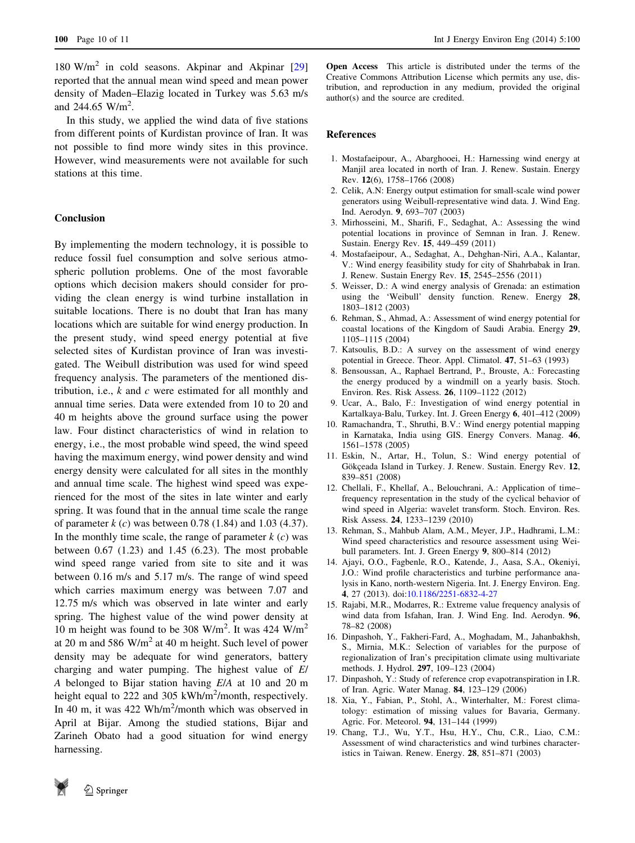<span id="page-9-0"></span> $180 \text{ W/m}^2$  in cold seasons. Akpinar and Akpinar [[29\]](#page-10-0) reported that the annual mean wind speed and mean power density of Maden–Elazig located in Turkey was 5.63 m/s and  $244.65 \text{ W/m}^2$ .

In this study, we applied the wind data of five stations from different points of Kurdistan province of Iran. It was not possible to find more windy sites in this province. However, wind measurements were not available for such stations at this time.

# Conclusion

By implementing the modern technology, it is possible to reduce fossil fuel consumption and solve serious atmospheric pollution problems. One of the most favorable options which decision makers should consider for providing the clean energy is wind turbine installation in suitable locations. There is no doubt that Iran has many locations which are suitable for wind energy production. In the present study, wind speed energy potential at five selected sites of Kurdistan province of Iran was investigated. The Weibull distribution was used for wind speed frequency analysis. The parameters of the mentioned distribution, i.e.,  $k$  and  $c$  were estimated for all monthly and annual time series. Data were extended from 10 to 20 and 40 m heights above the ground surface using the power law. Four distinct characteristics of wind in relation to energy, i.e., the most probable wind speed, the wind speed having the maximum energy, wind power density and wind energy density were calculated for all sites in the monthly and annual time scale. The highest wind speed was experienced for the most of the sites in late winter and early spring. It was found that in the annual time scale the range of parameter  $k(c)$  was between 0.78 (1.84) and 1.03 (4.37). In the monthly time scale, the range of parameter  $k(c)$  was between 0.67 (1.23) and 1.45 (6.23). The most probable wind speed range varied from site to site and it was between 0.16 m/s and 5.17 m/s. The range of wind speed which carries maximum energy was between 7.07 and 12.75 m/s which was observed in late winter and early spring. The highest value of the wind power density at 10 m height was found to be 308 W/m<sup>2</sup>. It was 424 W/m<sup>2</sup> at 20 m and 586  $W/m^2$  at 40 m height. Such level of power density may be adequate for wind generators, battery charging and water pumping. The highest value of E/ A belonged to Bijar station having E/A at 10 and 20 m height equal to 222 and 305 kWh/m<sup>2</sup>/month, respectively. In 40 m, it was  $422 \text{ Wh/m}^2/\text{month}$  which was observed in April at Bijar. Among the studied stations, Bijar and Zarineh Obato had a good situation for wind energy harnessing.

Open Access This article is distributed under the terms of the Creative Commons Attribution License which permits any use, distribution, and reproduction in any medium, provided the original author(s) and the source are credited.

## References

- 1. Mostafaeipour, A., Abarghooei, H.: Harnessing wind energy at Manjil area located in north of Iran. J. Renew. Sustain. Energy Rev. 12(6), 1758–1766 (2008)
- 2. Celik, A.N: Energy output estimation for small-scale wind power generators using Weibull-representative wind data. J. Wind Eng. Ind. Aerodyn. 9, 693–707 (2003)
- 3. Mirhosseini, M., Sharifi, F., Sedaghat, A.: Assessing the wind potential locations in province of Semnan in Iran. J. Renew. Sustain. Energy Rev. 15, 449–459 (2011)
- 4. Mostafaeipour, A., Sedaghat, A., Dehghan-Niri, A.A., Kalantar, V.: Wind energy feasibility study for city of Shahrbabak in Iran. J. Renew. Sustain Energy Rev. 15, 2545–2556 (2011)
- 5. Weisser, D.: A wind energy analysis of Grenada: an estimation using the 'Weibull' density function. Renew. Energy 28, 1803–1812 (2003)
- 6. Rehman, S., Ahmad, A.: Assessment of wind energy potential for coastal locations of the Kingdom of Saudi Arabia. Energy 29, 1105–1115 (2004)
- 7. Katsoulis, B.D.: A survey on the assessment of wind energy potential in Greece. Theor. Appl. Climatol. 47, 51–63 (1993)
- 8. Bensoussan, A., Raphael Bertrand, P., Brouste, A.: Forecasting the energy produced by a windmill on a yearly basis. Stoch. Environ. Res. Risk Assess. 26, 1109–1122 (2012)
- 9. Ucar, A., Balo, F.: Investigation of wind energy potential in Kartalkaya-Balu, Turkey. Int. J. Green Energy 6, 401–412 (2009)
- 10. Ramachandra, T., Shruthi, B.V.: Wind energy potential mapping in Karnataka, India using GIS. Energy Convers. Manag. 46, 1561–1578 (2005)
- 11. Eskin, N., Artar, H., Tolun, S.: Wind energy potential of Gökçeada Island in Turkey. J. Renew. Sustain. Energy Rev. 12, 839–851 (2008)
- 12. Chellali, F., Khellaf, A., Belouchrani, A.: Application of time– frequency representation in the study of the cyclical behavior of wind speed in Algeria: wavelet transform. Stoch. Environ. Res. Risk Assess. 24, 1233–1239 (2010)
- 13. Rehman, S., Mahbub Alam, A.M., Meyer, J.P., Hadhrami, L.M.: Wind speed characteristics and resource assessment using Weibull parameters. Int. J. Green Energy 9, 800–814 (2012)
- 14. Ajayi, O.O., Fagbenle, R.O., Katende, J., Aasa, S.A., Okeniyi, J.O.: Wind profile characteristics and turbine performance analysis in Kano, north-western Nigeria. Int. J. Energy Environ. Eng. 4, 27 (2013). doi:[10.1186/2251-6832-4-27](http://dx.doi.org/10.1186/2251-6832-4-27)
- 15. Rajabi, M.R., Modarres, R.: Extreme value frequency analysis of wind data from Isfahan, Iran. J. Wind Eng. Ind. Aerodyn. 96, 78–82 (2008)
- 16. Dinpashoh, Y., Fakheri-Fard, A., Moghadam, M., Jahanbakhsh, S., Mirnia, M.K.: Selection of variables for the purpose of regionalization of Iran's precipitation climate using multivariate methods. J. Hydrol. 297, 109–123 (2004)
- 17. Dinpashoh, Y.: Study of reference crop evapotranspiration in I.R. of Iran. Agric. Water Manag. 84, 123–129 (2006)
- 18. Xia, Y., Fabian, P., Stohl, A., Winterhalter, M.: Forest climatology: estimation of missing values for Bavaria, Germany. Agric. For. Meteorol. 94, 131–144 (1999)
- 19. Chang, T.J., Wu, Y.T., Hsu, H.Y., Chu, C.R., Liao, C.M.: Assessment of wind characteristics and wind turbines characteristics in Taiwan. Renew. Energy. 28, 851–871 (2003)